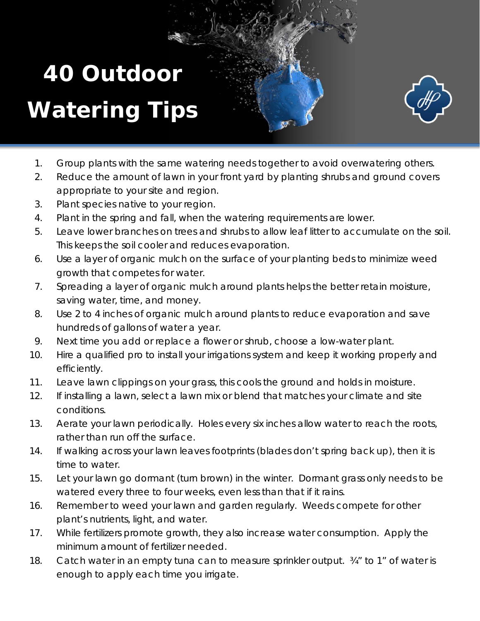## **40 Outdoor Watering Tips**



- 1. Group plants with the same watering needs together to avoid overwatering others.
- 2. Reduce the amount of lawn in your front yard by planting shrubs and ground covers appropriate to your site and region.
- 3. Plant species native to your region.
- 4. Plant in the spring and fall, when the watering requirements are lower.
- 5. Leave lower branches on trees and shrubs to allow leaf litter to accumulate on the soil. This keeps the soil cooler and reduces evaporation.
- 6. Use a layer of organic mulch on the surface of your planting beds to minimize weed growth that competes for water.
- 7. Spreading a layer of organic mulch around plants helps the better retain moisture, saving water, time, and money.
- 8. Use 2 to 4 inches of organic mulch around plants to reduce evaporation and save hundreds of gallons of water a year.
- 9. Next time you add or replace a flower or shrub, choose a low-water plant.
- 10. Hire a qualified pro to install your irrigations system and keep it working properly and efficiently.
- 11. Leave lawn clippings on your grass, this cools the ground and holds in moisture.
- 12. If installing a lawn, select a lawn mix or blend that matches your climate and site conditions.
- 13. Aerate your lawn periodically. Holes every six inches allow water to reach the roots, rather than run off the surface.
- 14. If walking across your lawn leaves footprints (blades don't spring back up), then it is time to water.
- 15. Let your lawn go dormant (turn brown) in the winter. Dormant grass only needs to be watered every three to four weeks, even less than that if it rains.
- 16. Remember to weed your lawn and garden regularly. Weeds compete for other plant's nutrients, light, and water.
- 17. While fertilizers promote growth, they also increase water consumption. Apply the minimum amount of fertilizer needed.
- 18. Catch water in an empty tuna can to measure sprinkler output.  $\frac{3}{4}$ " to 1" of water is enough to apply each time you irrigate.